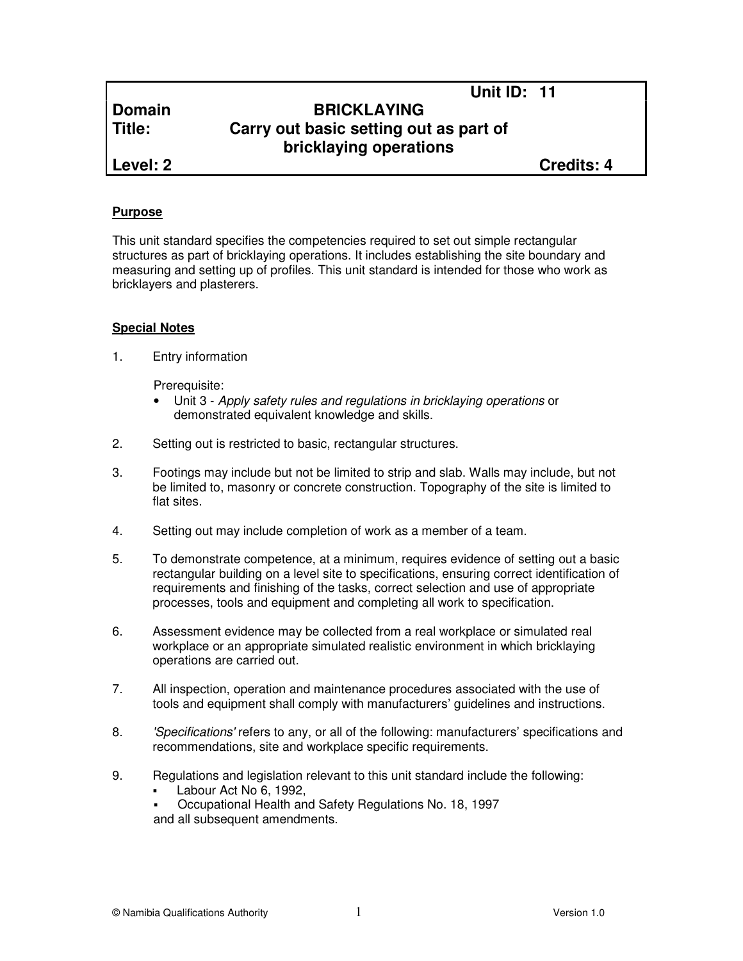# **Domain BRICKLAYING Title: Carry out basic setting out as part of bricklaying operations**

**Level: 2 Credits: 4**

**Unit ID: 11** 

#### **Purpose**

This unit standard specifies the competencies required to set out simple rectangular structures as part of bricklaying operations. It includes establishing the site boundary and measuring and setting up of profiles. This unit standard is intended for those who work as bricklayers and plasterers.

### **Special Notes**

1. Entry information

Prerequisite:

- Unit 3 Apply safety rules and regulations in bricklaying operations or demonstrated equivalent knowledge and skills.
- 2. Setting out is restricted to basic, rectangular structures.
- 3. Footings may include but not be limited to strip and slab. Walls may include, but not be limited to, masonry or concrete construction. Topography of the site is limited to flat sites.
- 4. Setting out may include completion of work as a member of a team.
- 5. To demonstrate competence, at a minimum, requires evidence of setting out a basic rectangular building on a level site to specifications, ensuring correct identification of requirements and finishing of the tasks, correct selection and use of appropriate processes, tools and equipment and completing all work to specification.
- 6. Assessment evidence may be collected from a real workplace or simulated real workplace or an appropriate simulated realistic environment in which bricklaying operations are carried out.
- 7. All inspection, operation and maintenance procedures associated with the use of tools and equipment shall comply with manufacturers' guidelines and instructions.
- 8. 'Specifications' refers to any, or all of the following: manufacturers' specifications and recommendations, site and workplace specific requirements.
- 9. Regulations and legislation relevant to this unit standard include the following:
	- Labour Act No 6, 1992,
	- Occupational Health and Safety Regulations No. 18, 1997 and all subsequent amendments.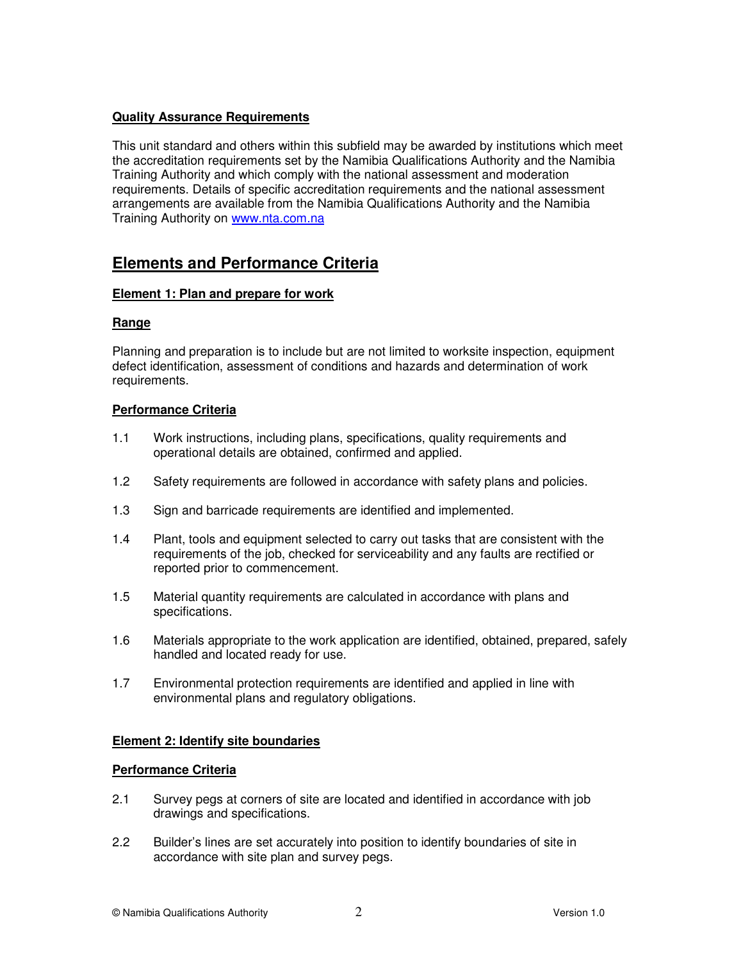# **Quality Assurance Requirements**

This unit standard and others within this subfield may be awarded by institutions which meet the accreditation requirements set by the Namibia Qualifications Authority and the Namibia Training Authority and which comply with the national assessment and moderation requirements. Details of specific accreditation requirements and the national assessment arrangements are available from the Namibia Qualifications Authority and the Namibia Training Authority on www.nta.com.na

# **Elements and Performance Criteria**

#### **Element 1: Plan and prepare for work**

#### **Range**

Planning and preparation is to include but are not limited to worksite inspection, equipment defect identification, assessment of conditions and hazards and determination of work requirements.

### **Performance Criteria**

- 1.1 Work instructions, including plans, specifications, quality requirements and operational details are obtained, confirmed and applied.
- 1.2 Safety requirements are followed in accordance with safety plans and policies.
- 1.3 Sign and barricade requirements are identified and implemented.
- 1.4 Plant, tools and equipment selected to carry out tasks that are consistent with the requirements of the job, checked for serviceability and any faults are rectified or reported prior to commencement.
- 1.5 Material quantity requirements are calculated in accordance with plans and specifications.
- 1.6 Materials appropriate to the work application are identified, obtained, prepared, safely handled and located ready for use.
- 1.7 Environmental protection requirements are identified and applied in line with environmental plans and regulatory obligations.

#### **Element 2: Identify site boundaries**

#### **Performance Criteria**

- 2.1 Survey pegs at corners of site are located and identified in accordance with job drawings and specifications.
- 2.2 Builder's lines are set accurately into position to identify boundaries of site in accordance with site plan and survey pegs.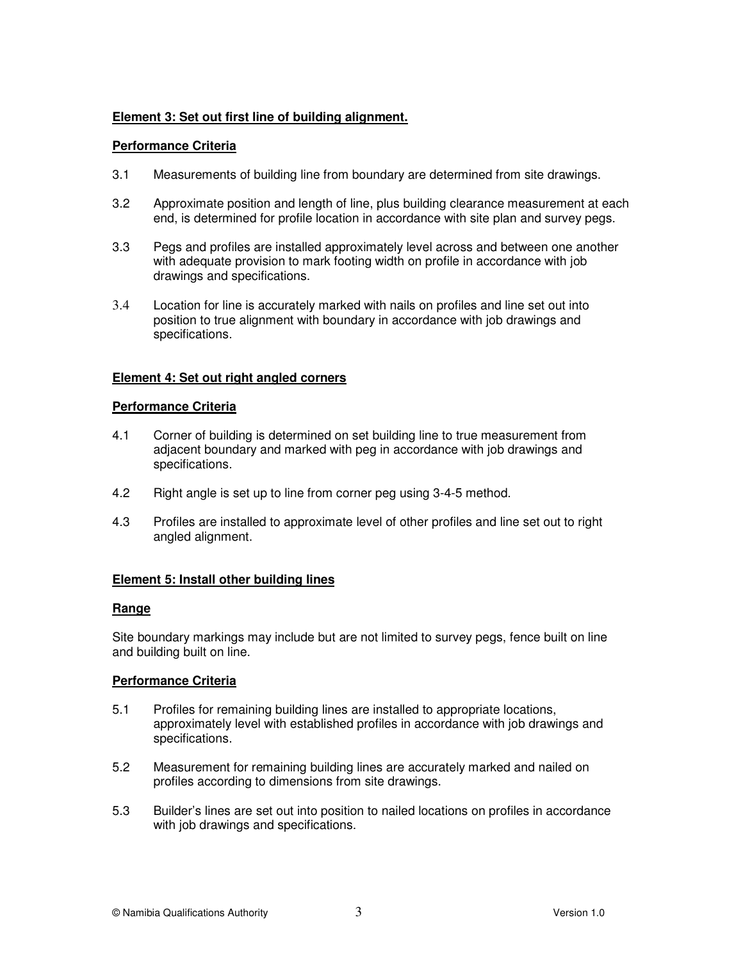# **Element 3: Set out first line of building alignment.**

#### **Performance Criteria**

- 3.1 Measurements of building line from boundary are determined from site drawings.
- 3.2 Approximate position and length of line, plus building clearance measurement at each end, is determined for profile location in accordance with site plan and survey pegs.
- 3.3 Pegs and profiles are installed approximately level across and between one another with adequate provision to mark footing width on profile in accordance with job drawings and specifications.
- 3.4 Location for line is accurately marked with nails on profiles and line set out into position to true alignment with boundary in accordance with job drawings and specifications.

#### **Element 4: Set out right angled corners**

#### **Performance Criteria**

- 4.1 Corner of building is determined on set building line to true measurement from adjacent boundary and marked with peg in accordance with job drawings and specifications.
- 4.2 Right angle is set up to line from corner peg using 3-4-5 method.
- 4.3 Profiles are installed to approximate level of other profiles and line set out to right angled alignment.

#### **Element 5: Install other building lines**

#### **Range**

Site boundary markings may include but are not limited to survey pegs, fence built on line and building built on line.

#### **Performance Criteria**

- 5.1 Profiles for remaining building lines are installed to appropriate locations, approximately level with established profiles in accordance with job drawings and specifications.
- 5.2 Measurement for remaining building lines are accurately marked and nailed on profiles according to dimensions from site drawings.
- 5.3 Builder's lines are set out into position to nailed locations on profiles in accordance with job drawings and specifications.